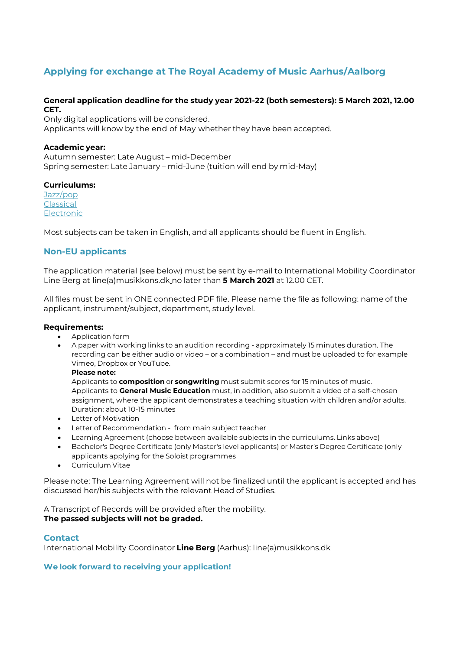# **Applying for exchange at The Royal Academy of Music Aarhus/Aalborg**

## **General application deadline for the study year 2021-22 (both semesters): 5 March 2021, 12.00 CET.**

Only digital applications will be considered. Applicants will know by the end of May whether they have been accepted.

### **Academic year:**

Autumn semester: Late August – mid-December Spring semester: Late January – mid-June (tuition will end by mid-May)

### **Curriculums:**

[Jazz/pop](https://musikkons.dk/en/programmes/curricula/curricula-for-jazz-pop/) [Classical](https://musikkons.dk/en/programmes/curricula/curricula-for-classical/) [Electronic](https://musikkons.dk/en/programmes/curricula/curricula-for-electronic/)

Most subjects can be taken in English, and all applicants should be fluent in English.

## **Non-EU applicants**

The application material (see below) must be sent by e-mail to International Mobility Coordinator Line Berg at line(a)musikkons.dk no later than **5 March 2021** at 12.00 CET.

All files must be sent in ONE connected PDF file. Please name the file as following: name of the applicant, instrument/subject, department, study level.

### **Requirements:**

- Application form
- A paper with working links to an audition recording approximately 15 minutes duration. The recording can be either audio or video – or a combination – and must be uploaded to for example Vimeo, Dropbox or YouTube.

### **Please note:**

Applicants to **composition** or **songwriting** must submit scores for 15 minutes of music. Applicants to **General Music Education** must, in addition, also submit a video of a self-chosen assignment, where the applicant demonstrates a teaching situation with children and/or adults. Duration: about 10-15 minutes

- Letter of Motivation
- Letter of Recommendation from main subject teacher
- Learning Agreement (choose between available subjects in the curriculums. Links above)
- Bachelor's Degree Certificate (only Master's level applicants) or Master's Degree Certificate (only applicants applying for the Soloist programmes
- Curriculum Vitae

Please note: The Learning Agreement will not be finalized until the applicant is accepted and has discussed her/his subjects with the relevant Head of Studies.

A Transcript of Records will be provided after the mobility. **The passed subjects will not be graded.**

## **Contact**

International Mobility Coordinator **Line Berg** (Aarhus): line(a)musikkons.dk

## **We look forward to receiving your application!**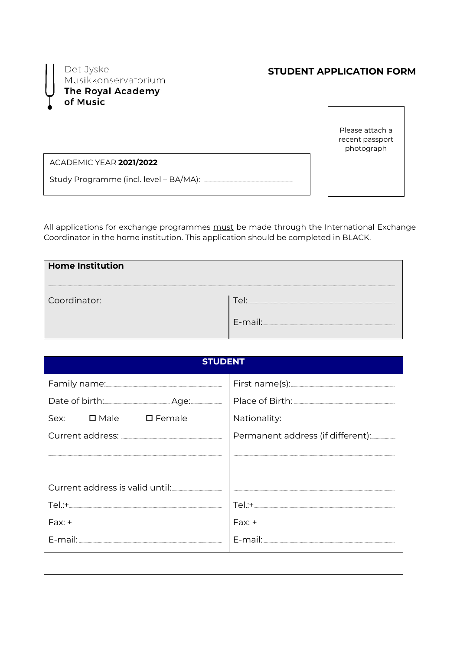

## **STUDENT APPLICATION FORM**

Please attach a recent passport photograph

ACADEMIC YEAR 2021/2022

Study Programme (incl. level - BA/MA): \_

All applications for exchange programmes must be made through the International Exchange Coordinator in the home institution. This application should be completed in BLACK.

| <b>Home Institution</b> |                  |
|-------------------------|------------------|
| Coordinator:            | $\triangleright$ |
|                         | E-mail:          |

| <b>STUDENT</b>                       |                                   |  |  |  |
|--------------------------------------|-----------------------------------|--|--|--|
| Family name: www.assemblance.com     |                                   |  |  |  |
|                                      |                                   |  |  |  |
| Sex: $\Box$ Male $\Box$ Female       |                                   |  |  |  |
|                                      | Permanent address (if different): |  |  |  |
|                                      |                                   |  |  |  |
|                                      |                                   |  |  |  |
|                                      |                                   |  |  |  |
|                                      |                                   |  |  |  |
| $Fax: + \underbrace{\hspace{2.5cm}}$ | $Fax: +$                          |  |  |  |
|                                      |                                   |  |  |  |
|                                      |                                   |  |  |  |
|                                      |                                   |  |  |  |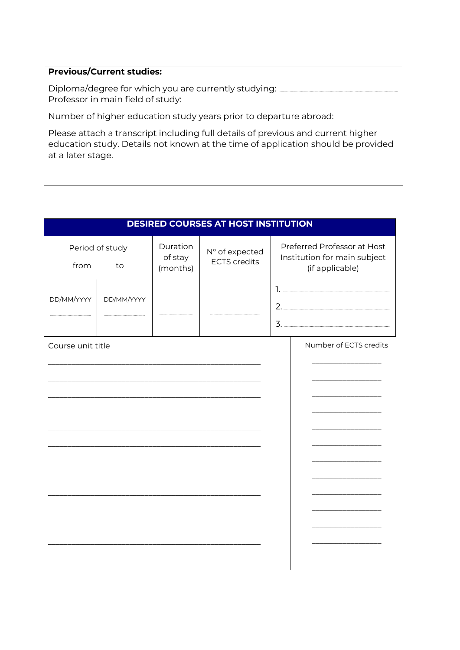## **Previous/Current studies:**

Diploma/degree for which you are currently studying: Professor in main field of study: .......

Number of higher education study years prior to departure abroad: \_\_\_\_

Please attach a transcript including full details of previous and current higher education study. Details not known at the time of application should be provided at a later stage.

| <b>DESIRED COURSES AT HOST INSTITUTION</b> |                       |                                 |                                       |                                                                                |  |
|--------------------------------------------|-----------------------|---------------------------------|---------------------------------------|--------------------------------------------------------------------------------|--|
| from                                       | Period of study<br>to | Duration<br>of stay<br>(months) | N° of expected<br><b>ECTS</b> credits | Preferred Professor at Host<br>Institution for main subject<br>(if applicable) |  |
| DD/MM/YYYY                                 | DD/MM/YYYY            |                                 |                                       |                                                                                |  |
| Course unit title                          |                       |                                 |                                       | Number of ECTS credits                                                         |  |
|                                            |                       |                                 |                                       |                                                                                |  |
|                                            |                       |                                 |                                       |                                                                                |  |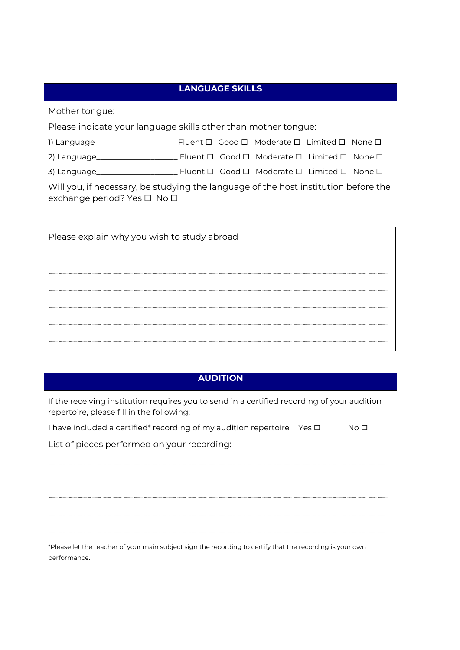## **LANGUAGE SKILLS**

Please indicate your language skills other than mother tongue:

Will you, if necessary, be studying the language of the host institution before the exchange period? Yes □ No □

| Please explain why you wish to study abroad |  |  |
|---------------------------------------------|--|--|
|                                             |  |  |
|                                             |  |  |
|                                             |  |  |
|                                             |  |  |
|                                             |  |  |
|                                             |  |  |

# **AUDITION**

If the receiving institution requires you to send in a certified recording of your audition repertoire, please fill in the following:

| I have included a certified* recording of my audition repertoire Yes $\square$ |  | $No\Box$ |
|--------------------------------------------------------------------------------|--|----------|
|--------------------------------------------------------------------------------|--|----------|

| List of pieces performed on your recording: |  |
|---------------------------------------------|--|
|---------------------------------------------|--|

\*Please let the teacher of your main subject sign the recording to certify that the recording is your own performance.